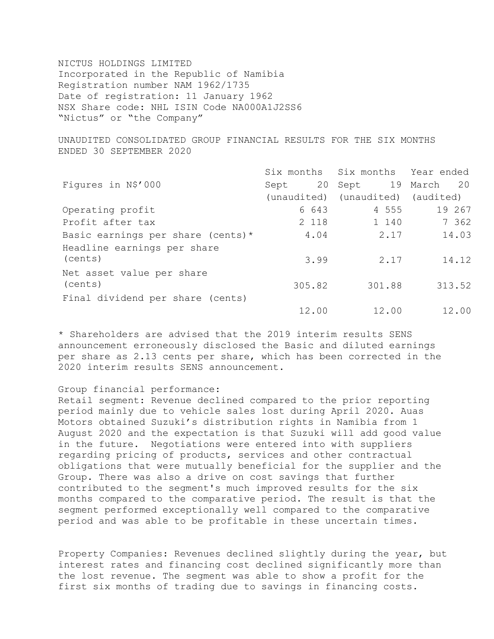NICTUS HOLDINGS LIMITED Incorporated in the Republic of Namibia Registration number NAM 1962/1735 Date of registration: 11 January 1962 NSX Share code: NHL ISIN Code NA000A1J2SS6 "Nictus" or "the Company"

UNAUDITED CONSOLIDATED GROUP FINANCIAL RESULTS FOR THE SIX MONTHS ENDED 30 SEPTEMBER 2020

|                                      |        | Six months Six months Year ended  |                |
|--------------------------------------|--------|-----------------------------------|----------------|
| Figures in N\$'000                   | Sept   | 20 Sept                           | 19 March<br>20 |
|                                      |        | (unaudited) (unaudited) (audited) |                |
| Operating profit                     | 6 643  | 4 555                             | 19 267         |
| Profit after tax                     | 2 118  | 1 140                             | 7 362          |
| Basic earnings per share (cents) $*$ | 4.04   | 2.17                              | 14.03          |
| Headline earnings per share          |        |                                   |                |
| (cents)                              | 3.99   | 2.17                              | 14.12          |
| Net asset value per share            |        |                                   |                |
| (cents)                              | 305.82 | 301.88                            | 313.52         |
| Final dividend per share (cents)     |        |                                   |                |
|                                      | 12.00  | 12.00                             | 12.00          |

\* Shareholders are advised that the 2019 interim results SENS announcement erroneously disclosed the Basic and diluted earnings per share as 2.13 cents per share, which has been corrected in the 2020 interim results SENS announcement.

#### Group financial performance:

Retail segment: Revenue declined compared to the prior reporting period mainly due to vehicle sales lost during April 2020. Auas Motors obtained Suzuki's distribution rights in Namibia from 1 August 2020 and the expectation is that Suzuki will add good value in the future. Negotiations were entered into with suppliers regarding pricing of products, services and other contractual obligations that were mutually beneficial for the supplier and the Group. There was also a drive on cost savings that further contributed to the segment's much improved results for the six months compared to the comparative period. The result is that the segment performed exceptionally well compared to the comparative period and was able to be profitable in these uncertain times.

Property Companies: Revenues declined slightly during the year, but interest rates and financing cost declined significantly more than the lost revenue. The segment was able to show a profit for the first six months of trading due to savings in financing costs.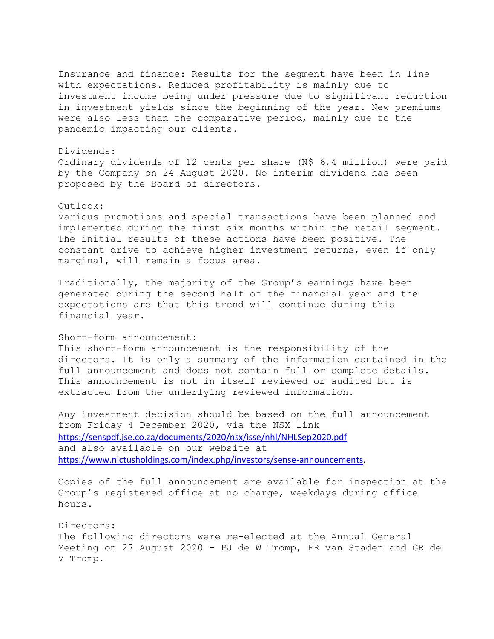Insurance and finance: Results for the segment have been in line with expectations. Reduced profitability is mainly due to investment income being under pressure due to significant reduction in investment yields since the beginning of the year. New premiums were also less than the comparative period, mainly due to the pandemic impacting our clients.

### Dividends:

Ordinary dividends of 12 cents per share (N\$ 6,4 million) were paid by the Company on 24 August 2020. No interim dividend has been proposed by the Board of directors.

### Outlook:

Various promotions and special transactions have been planned and implemented during the first six months within the retail segment. The initial results of these actions have been positive. The constant drive to achieve higher investment returns, even if only marginal, will remain a focus area.

Traditionally, the majority of the Group's earnings have been generated during the second half of the financial year and the expectations are that this trend will continue during this financial year.

## Short-form announcement:

This short-form announcement is the responsibility of the directors. It is only a summary of the information contained in the full announcement and does not contain full or complete details. This announcement is not in itself reviewed or audited but is extracted from the underlying reviewed information.

Any investment decision should be based on the full announcement from Friday 4 December 2020, via the NSX link <https://senspdf.jse.co.za/documents/2020/nsx/isse/nhl/NHLSep2020.pdf> and also available on our website at [https://www.nictusholdings.com/index.php/investors/sense-announcements.](https://www.nictusholdings.com/index.php/investors/sense-announcements)

Copies of the full announcement are available for inspection at the Group's registered office at no charge, weekdays during office hours.

# Directors: The following directors were re-elected at the Annual General Meeting on 27 August 2020 – PJ de W Tromp, FR van Staden and GR de V Tromp.